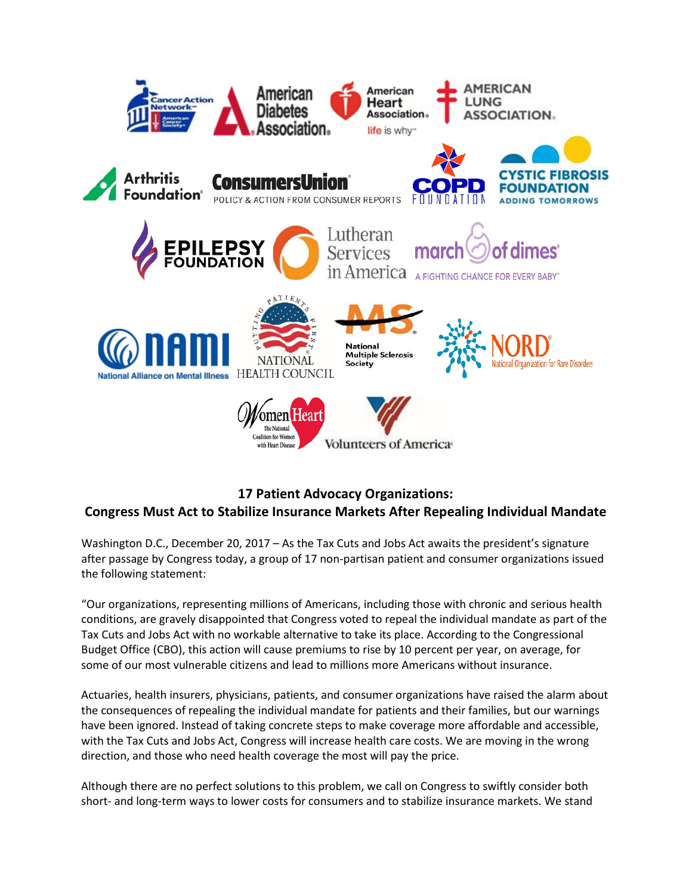

## **17 Patient Advocacy Organizations:**

## **Congress Must Act to Stabilize Insurance Markets After Repealing Individual Mandate**

Washington D.C., December 20, 2017 – As the Tax Cuts and Jobs Act awaits the president's signature after passage by Congress today, a group of 17 non-partisan patient and consumer organizations issued the following statement:

"Our organizations, representing millions of Americans, including those with chronic and serious health conditions, are gravely disappointed that Congress voted to repeal the individual mandate as part of the Tax Cuts and Jobs Act with no workable alternative to take its place. According to the Congressional Budget Office (CBO), this action will cause premiums to rise by 10 percent per year, on average, for some of our most vulnerable citizens and lead to millions more Americans without insurance.

Actuaries, health insurers, physicians, patients, and consumer organizations have raised the alarm about the consequences of repealing the individual mandate for patients and their families, but our warnings have been ignored. Instead of taking concrete steps to make coverage more affordable and accessible, with the Tax Cuts and Jobs Act, Congress will increase health care costs. We are moving in the wrong direction, and those who need health coverage the most will pay the price.

Although there are no perfect solutions to this problem, we call on Congress to swiftly consider both short- and long-term ways to lower costs for consumers and to stabilize insurance markets. We stand